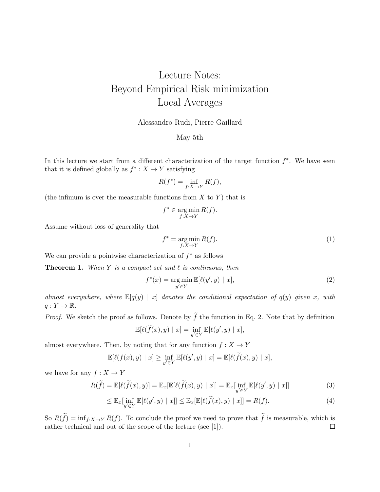# Lecture Notes: Beyond Empirical Risk minimization Local Averages

#### Alessandro Rudi, Pierre Gaillard

#### May 5th

In this lecture we start from a different characterization of the target function  $f^*$ . We have seen that it is defined globally as  $f^* : X \to Y$  satisfying

$$
R(f^*) = \inf_{f:X \to Y} R(f),
$$

(the infimum is over the measurable functions from  $X$  to  $Y$ ) that is

$$
f^* \in \operatorname*{arg\,min}_{f:X \to Y} R(f).
$$

Assume without loss of generality that

$$
f^* = \underset{f:X \to Y}{\text{arg min}} R(f). \tag{1}
$$

We can provide a pointwise characterization of  $f^*$  as follows

**Theorem 1.** When Y is a compact set and  $\ell$  is continuous, then

$$
f^*(x) = \underset{y' \in Y}{\text{arg min}} \mathbb{E}[\ell(y', y) \mid x],\tag{2}
$$

almost everywhere, where  $\mathbb{E}[q(y) | x]$  denotes the conditional expectation of  $q(y)$  given x, with  $q: Y \to \mathbb{R}$ .

*Proof.* We sketch the proof as follows. Denote by  $\tilde{f}$  the function in Eq. 2. Note that by definition

$$
\mathbb{E}[\ell(\widetilde{f}(x), y) \mid x] = \inf_{y' \in Y} \mathbb{E}[\ell(y', y) \mid x],
$$

almost everywhere. Then, by noting that for any function  $f: X \to Y$ 

$$
\mathbb{E}[\ell(f(x), y) \mid x] \ge \inf_{y' \in Y} \mathbb{E}[\ell(y', y) \mid x] = \mathbb{E}[\ell(\widetilde{f}(x), y) \mid x],
$$

we have for any  $f: X \to Y$ 

$$
R(\widetilde{f}) = \mathbb{E}[\ell(\widetilde{f}(x), y)] = \mathbb{E}_x[\mathbb{E}[\ell(\widetilde{f}(x), y) | x]] = \mathbb{E}_x[\inf_{y' \in Y} \mathbb{E}[\ell(y', y) | x]] \tag{3}
$$

$$
\leq \mathbb{E}_x[\inf_{y' \in Y} \mathbb{E}[\ell(y', y) \mid x]] \leq \mathbb{E}_x[\mathbb{E}[\ell(\widetilde{f}(x), y) \mid x]] = R(f). \tag{4}
$$

So  $R(\tilde{f}) = \inf_{f:X \to Y} R(f)$ . To conclude the proof we need to prove that  $\tilde{f}$  is measurable, which is rather technical and out of the scope of the lecture (see [1]). rather technical and out of the scope of the lecture (see [1]).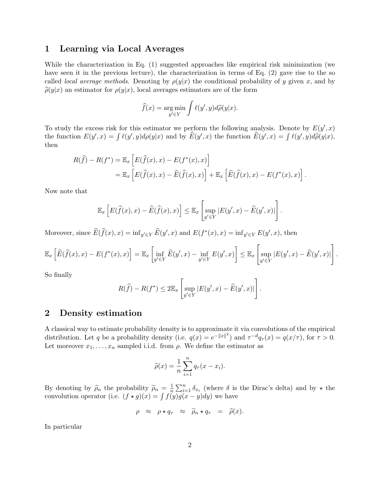### 1 Learning via Local Averages

While the characterization in Eq. (1) suggested approaches like empirical risk minimization (we have seen it in the previous lecture), the characterization in terms of Eq. (2) gave rise to the so called *local average methods*. Denoting by  $\rho(y|x)$  the conditional probability of y given x, and by  $\hat{\rho}(y|x)$  an estimator for  $\rho(y|x)$ , local averages estimators are of the form

$$
\widehat{f}(x) = \underset{y' \in Y}{\arg \min} \int \ell(y', y) d\widehat{\rho}(y|x).
$$

To study the excess risk for this estimator we perform the following analysis. Denote by  $E(y', x)$ the function  $E(y', x) = \int \ell(y', y) d\rho(y|x)$  and by  $\widehat{E}(y', x)$  the function  $\widehat{E}(y', x) = \int \ell(y', y) d\widehat{\rho}(y|x)$ , then

$$
R(\widehat{f}) - R(f^*) = \mathbb{E}_x \left[ E(\widehat{f}(x), x) - E(f^*(x), x) \right]
$$
  
= 
$$
\mathbb{E}_x \left[ E(\widehat{f}(x), x) - \widehat{E}(\widehat{f}(x), x) \right] + \mathbb{E}_x \left[ \widehat{E}(\widehat{f}(x), x) - E(f^*(x), x) \right].
$$

Now note that

$$
\mathbb{E}_x\left[E(\widehat{f}(x),x)-\widehat{E}(\widehat{f}(x),x)\right] \leq \mathbb{E}_x\left[\sup_{y'\in Y}|E(y',x)-\widehat{E}(y',x)|\right].
$$

Moreover, since  $\widehat{E}(\widehat{f}(x), x) = \inf_{y' \in Y} \widehat{E}(y', x)$  and  $E(f^*(x), x) = \inf_{y' \in Y} E(y', x)$ , then

$$
\mathbb{E}_x\left[\widehat{E}(\widehat{f}(x),x) - E(f^*(x),x)\right] = \mathbb{E}_x\left[\inf_{y' \in Y} \widehat{E}(y',x) - \inf_{y' \in Y} E(y',x)\right] \leq \mathbb{E}_x\left[\sup_{y' \in Y} |E(y',x) - \widehat{E}(y',x)|\right].
$$

So finally

$$
R(\widehat{f}) - R(f^*) \le 2\mathbb{E}_x \left[ \sup_{y' \in Y} |E(y', x) - \widehat{E}(y', x)| \right].
$$

### 2 Density estimation

A classical way to estimate probability density is to approximate it via convolutions of the empirical distribution. Let q be a probability density (i.e.  $q(x) = e^{-||x||^2}$ ) and  $\tau^{-d}q_{\tau}(x) = q(x/\tau)$ , for  $\tau > 0$ . Let moreover  $x_1, \ldots, x_n$  sampled i.i.d. from  $\rho$ . We define the estimator as

$$
\widehat{\rho}(x) = \frac{1}{n} \sum_{i=1}^{n} q_{\tau}(x - x_i).
$$

By denoting by  $\hat{\rho}_n$  the probability  $\tilde{\rho}_n = \frac{1}{n}$  $\frac{1}{n}\sum_{i=1}^{n} \delta_{x_i}$  (where  $\delta$  is the Dirac's delta) and by  $\star$  the convolution operator (i.e.  $(f \star g)(x) = \int f(y)g(x - y)dy$ ) we have

$$
\rho \approx \rho \star q_{\tau} \approx \widetilde{\rho}_n \star q_{\tau} = \widehat{\rho}(x).
$$

In particular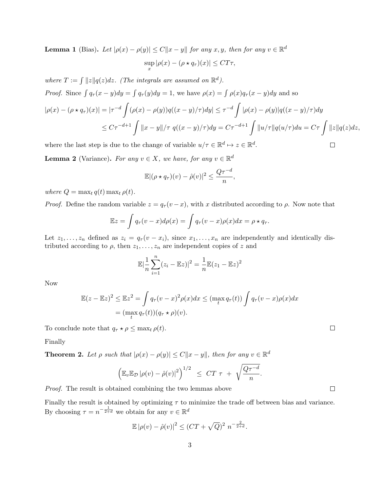**Lemma 1** (Bias). Let  $|\rho(x) - \rho(y)| \le C||x - y||$  for any  $x, y$ , then for any  $v \in \mathbb{R}^d$ sup  $\sup_{x} |\rho(x) - (\rho \star q_{\tau})(x)| \leq CT\tau,$ 

where  $T := \int ||z||q(z)dz$ . (The integrals are assumed on  $\mathbb{R}^d$ ). *Proof.* Since  $\int q_\tau (x - y) dy = \int q_\tau (y) dy = 1$ , we have  $\rho(x) = \int \rho(x) q_\tau (x - y) dy$  and so

$$
|\rho(x) - (\rho \star q_{\tau})(x)| = |\tau^{-d} \int (\rho(x) - \rho(y))q((x - y)/\tau)dy| \leq \tau^{-d} \int |\rho(x) - \rho(y)|q((x - y)/\tau)dy
$$
  

$$
\leq C\tau^{-d+1} \int ||x - y||/\tau \ q((x - y)/\tau)dy = C\tau^{-d+1} \int ||u/\tau||q(u/\tau)du = C\tau \int ||z||q(z)dz,
$$

where the last step is due to the change of variable  $u/\tau \in \mathbb{R}^d \mapsto z \in \mathbb{R}^d$ .

**Lemma 2** (Variance). For any  $v \in X$ , we have, for any  $v \in \mathbb{R}^d$ 

$$
\mathbb{E}|(\rho \star q_{\tau})(v) - \hat{\rho}(v)|^2 \leq \frac{Q\tau^{-d}}{n},
$$

where  $Q = \max_t q(t) \max_t \rho(t)$ .

*Proof.* Define the random variable  $z = q_{\tau}(v - x)$ , with x distributed according to  $\rho$ . Now note that

$$
\mathbb{E}z = \int q_{\tau}(v-x)d\rho(x) = \int q_{\tau}(v-x)\rho(x)dx = \rho \star q_{\tau}.
$$

Let  $z_1, \ldots, z_n$  defined as  $z_i = q_{\tau}(v - x_i)$ , since  $x_1, \ldots, x_n$  are independently and identically distributed according to  $\rho$ , then  $z_1, \ldots, z_n$  are independent copies of z and

$$
\mathbb{E}|\frac{1}{n}\sum_{i=1}^{n}(z_i - \mathbb{E}z)|^2 = \frac{1}{n}\mathbb{E}(z_1 - \mathbb{E}z)^2
$$

Now

$$
\mathbb{E}(z - \mathbb{E}z)^2 \le \mathbb{E}z^2 = \int q_\tau (v - x)^2 \rho(x) dx \le (\max_t q_\tau(t)) \int q_\tau (v - x) \rho(x) dx
$$

$$
= (\max_t q_\tau(t)) (q_\tau \star \rho)(v).
$$

To conclude note that  $q_{\tau} \star \rho \leq \max_t \rho(t)$ .

Finally

**Theorem 2.** Let  $\rho$  such that  $|\rho(x) - \rho(y)| \leq C ||x - y||$ , then for any  $v \in \mathbb{R}^d$ 

$$
\left( \mathbb{E}_{v} \mathbb{E}_{\mathcal{D}} |\rho(v) - \hat{\rho}(v)|^2 \right)^{1/2} \leq CT \tau + \sqrt{\frac{Q\tau^{-d}}{n}}.
$$

Proof. The result is obtained combining the two lemmas above

Finally the result is obtained by optimizing  $\tau$  to minimize the trade off between bias and variance. By choosing  $\tau = n^{-\frac{1}{2+d}}$  we obtain for any  $v \in \mathbb{R}^d$ 

$$
\mathbb{E} |\rho(v) - \hat{\rho}(v)|^2 \le (CT + \sqrt{Q})^2 n^{-\frac{2}{2+d}}.
$$

 $\Box$ 

 $\Box$ 

 $\Box$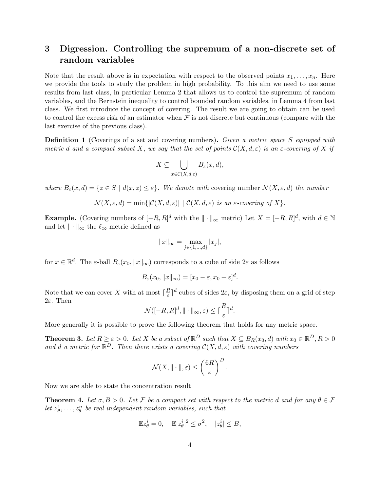# 3 Digression. Controlling the supremum of a non-discrete set of random variables

Note that the result above is in expectation with respect to the observed points  $x_1, \ldots, x_n$ . Here we provide the tools to study the problem in high probability. To this aim we need to use some results from last class, in particular Lemma 2 that allows us to control the supremum of random variables, and the Bernstein inequality to control bounded random variables, in Lemma 4 from last class. We first introduce the concept of covering. The result we are going to obtain can be used to control the excess risk of an estimator when  $\mathcal F$  is not discrete but continuous (compare with the last exercise of the previous class).

**Definition 1** (Coverings of a set and covering numbers). Given a metric space S equipped with metric d and a compact subset X, we say that the set of points  $\mathcal{C}(X, d, \varepsilon)$  is an  $\varepsilon$ -covering of X if

$$
X \subseteq \bigcup_{x \in \mathcal{C}(X,d,\varepsilon)} B_{\varepsilon}(x,d),
$$

where  $B_{\varepsilon}(x, d) = \{z \in S \mid d(x, z) \leq \varepsilon\}$ . We denote with covering number  $\mathcal{N}(X, \varepsilon, d)$  the number

$$
\mathcal{N}(X,\varepsilon,d) = \min\{|\mathcal{C}(X,d,\varepsilon)| \mid \mathcal{C}(X,d,\varepsilon) \text{ is an } \varepsilon\text{-covering of } X\}.
$$

**Example.** (Covering numbers of  $[-R, R]^d$  with the  $\| \cdot \|_{\infty}$  metric) Let  $X = [-R, R]^d$ , with  $d \in \mathbb{N}$ and let  $\|\cdot\|_{\infty}$  the  $\ell_{\infty}$  metric defined as

$$
||x||_{\infty} = \max_{j \in \{1, \dots, d\}} |x_j|,
$$

for  $x \in \mathbb{R}^d$ . The  $\varepsilon$ -ball  $B_{\varepsilon}(x_0, \|x\|_{\infty})$  corresponds to a cube of side  $2\varepsilon$  as follows

$$
B_{\varepsilon}(x_0, \|x\|_{\infty}) = [x_0 - \varepsilon, x_0 + \varepsilon]^d.
$$

Note that we can cover X with at most  $\lceil \frac{R}{\varepsilon} \rceil$  $\frac{R}{\varepsilon}$ <sup>d</sup> cubes of sides 2 $\varepsilon$ , by disposing them on a grid of step 2ε. Then

$$
\mathcal{N}([-R,R]^d, \|\cdot\|_{\infty}, \varepsilon) \leq \lceil \frac{R}{\varepsilon} \rceil^d.
$$

More generally it is possible to prove the following theorem that holds for any metric space.

**Theorem 3.** Let  $R \ge \varepsilon > 0$ . Let X be a subset of  $\mathbb{R}^D$  such that  $X \subseteq B_R(x_0, d)$  with  $x_0 \in \mathbb{R}^D, R > 0$ and d a metric for  $\mathbb{R}^D$ . Then there exists a covering  $\mathcal{C}(X,d,\varepsilon)$  with covering numbers

$$
\mathcal{N}(X, \|\cdot\|, \varepsilon) \le \left(\frac{6R}{\varepsilon}\right)^D.
$$

Now we are able to state the concentration result

**Theorem 4.** Let  $\sigma, B > 0$ . Let F be a compact set with respect to the metric d and for any  $\theta \in \mathcal{F}$ let  $z_{\theta}^1, \ldots, z_{\theta}^n$  be real independent random variables, such that

$$
\mathbb{E}z_{\theta}^i = 0, \quad \mathbb{E}|z_{\theta}^i|^2 \le \sigma^2, \quad |z_{\theta}^i| \le B,
$$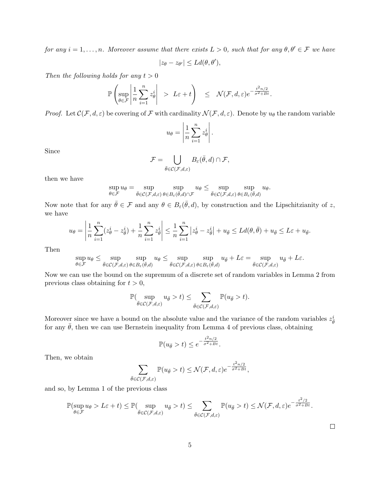for any  $i = 1, \ldots, n$ . Moreover assume that there exists  $L > 0$ , such that for any  $\theta, \theta' \in \mathcal{F}$  we have οι Localista<br>Θαβαία Σα

$$
|z_{\theta} - z_{\theta'}| \leq L d(\theta, \theta'),
$$

Then the following holds for any  $t > 0$ 

$$
\mathbb{P}\left(\sup_{\theta\in\mathcal{F}}\left|\frac{1}{n}\sum_{i=1}^nz_{\theta}^i\right| > L\varepsilon + t\right) \leq \mathcal{N}(\mathcal{F},d,\varepsilon)e^{-\frac{t^2n/2}{\sigma^2+Bt}}.
$$

*Proof.* Let  $\mathcal{C}(\mathcal{F}, d, \varepsilon)$  be covering of  $\mathcal F$  with cardinality  $\mathcal{N}(\mathcal{F}, d, \varepsilon)$ . Denote by  $u_{\theta}$  the random variable

$$
u_{\theta} = \left| \frac{1}{n} \sum_{i=1}^{n} z_{\theta}^{i} \right|.
$$

Since

$$
\mathcal{F} = \bigcup_{\bar{\theta} \in \mathcal{C}(\mathcal{F}, d, \varepsilon)} B_{\varepsilon}(\bar{\theta}, d) \cap \mathcal{F},
$$

then we have

$$
\sup_{\theta \in \mathcal{F}} u_{\theta} = \sup_{\bar{\theta} \in \mathcal{C}(\mathcal{F},d,\varepsilon)} \sup_{\theta \in B_{\varepsilon}(\bar{\theta},d) \cap \mathcal{F}} u_{\theta} \le \sup_{\bar{\theta} \in \mathcal{C}(\mathcal{F},d,\varepsilon)} \sup_{\theta \in B_{\varepsilon}(\bar{\theta},d)} u_{\theta}.
$$

Now note that for any  $\bar{\theta} \in \mathcal{F}$  and any  $\theta \in B_{\varepsilon}(\bar{\theta}, d)$ , by construction and the Lipschitzianity of z, we have

$$
u_{\theta} = \left| \frac{1}{n} \sum_{i=1}^{n} (z_{\theta}^{i} - z_{\overline{\theta}}^{i}) + \frac{1}{n} \sum_{i=1}^{n} z_{\overline{\theta}}^{i} \right| \leq \frac{1}{n} \sum_{i=1}^{n} |z_{\theta}^{i} - z_{\overline{\theta}}^{i}| + u_{\overline{\theta}} \leq Ld(\theta, \overline{\theta}) + u_{\overline{\theta}} \leq L\varepsilon + u_{\overline{\theta}}.
$$

Then

$$
\sup_{\theta \in \mathcal{F}} u_{\theta} \leq \sup_{\bar{\theta} \in \mathcal{C}(\mathcal{F},d,\varepsilon)} \sup_{\theta \in B_{\varepsilon}(\bar{\theta},d)} u_{\theta} \leq \sup_{\bar{\theta} \in \mathcal{C}(\mathcal{F},d,\varepsilon)} \sup_{\theta \in B_{\varepsilon}(\bar{\theta},d)} u_{\bar{\theta}} + L\varepsilon = \sup_{\bar{\theta} \in \mathcal{C}(\mathcal{F},d,\varepsilon)} u_{\bar{\theta}} + L\varepsilon.
$$

Now we can use the bound on the supremum of a discrete set of random variables in Lemma 2 from previous class obtaining for  $t > 0$ ,

$$
\mathbb{P}(\sup_{\bar{\theta}\in\mathcal{C}(\mathcal{F},d,\varepsilon)}u_{\bar{\theta}}>t)\leq \sum_{\bar{\theta}\in\mathcal{C}(\mathcal{F},d,\varepsilon)}\mathbb{P}(u_{\bar{\theta}}>t).
$$

Moreover since we have a bound on the absolute value and the variance of the random variables  $z_{\bar{\theta}}^i$ for any  $\bar{\theta}$ , then we can use Bernstein inequality from Lemma 4 of previous class, obtaining

$$
\mathbb{P}(u_{\bar{\theta}} > t) \leq e^{-\frac{t^2 n/2}{\sigma^2 + Bt}}.
$$

Then, we obtain

$$
\sum_{\bar{\theta}\in\mathcal{C}(\mathcal{F},d,\varepsilon)}\mathbb{P}(u_{\bar{\theta}}>t)\leq\mathcal{N}(\mathcal{F},d,\varepsilon)e^{-\frac{t^2n/2}{\sigma^2+Bt}},
$$

and so, by Lemma 1 of the previous class

$$
\mathbb{P}(\sup_{\theta \in \mathcal{F}} u_{\theta} > L\varepsilon + t) \leq \mathbb{P}(\sup_{\bar{\theta} \in \mathcal{C}(\mathcal{F}, d, \varepsilon)} u_{\bar{\theta}} > t) \leq \sum_{\bar{\theta} \in \mathcal{C}(\mathcal{F}, d, \varepsilon)} \mathbb{P}(u_{\bar{\theta}} > t) \leq \mathcal{N}(\mathcal{F}, d, \varepsilon)e^{-\frac{t^2/2}{\sigma^2 + Bt}}.
$$

 $\Box$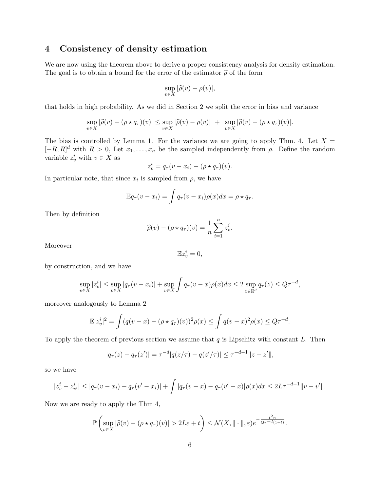## 4 Consistency of density estimation

We are now using the theorem above to derive a proper consistency analysis for density estimation. The goal is to obtain a bound for the error of the estimator  $\hat{\rho}$  of the form

$$
\sup_{v \in X} |\widehat{\rho}(v) - \rho(v)|,
$$

that holds in high probability. As we did in Section 2 we split the error in bias and variance

$$
\sup_{v \in X} |\widehat{\rho}(v) - (\rho \star q_{\tau})(v)| \leq \sup_{v \in X} |\widehat{\rho}(v) - \rho(v)| + \sup_{v \in X} |\widehat{\rho}(v) - (\rho \star q_{\tau})(v)|.
$$

The bias is controlled by Lemma 1. For the variance we are going to apply Thm. 4. Let  $X =$  $[-R, R]^d$  with  $R > 0$ , Let  $x_1, \ldots, x_n$  be the sampled independently from  $\rho$ . Define the random variable  $z_v^i$  with  $v \in X$  as

$$
z_v^i = q_\tau(v - x_i) - (\rho \star q_\tau)(v).
$$

In particular note, that since  $x_i$  is sampled from  $\rho$ , we have

$$
\mathbb{E}q_{\tau}(v-x_i) = \int q_{\tau}(v-x_i)\rho(x)dx = \rho \star q_{\tau}.
$$

Then by definition

$$
\widehat{\rho}(v) - (\rho \star q_{\tau})(v) = \frac{1}{n} \sum_{i=1}^{n} z_v^i.
$$

Moreover

$$
\mathbb{E}z_{v}^{i}=0,
$$

by construction, and we have

$$
\sup_{v \in X} |z_v^i| \le \sup_{v \in X} |q_\tau(v - x_i)| + \sup_{v \in X} \int q_\tau(v - x) \rho(x) dx \le 2 \sup_{z \in \mathbb{R}^d} q_\tau(z) \le Q\tau^{-d},
$$

moreover analogously to Lemma 2

$$
\mathbb{E}|z_v^i|^2 = \int (q(v-x) - (\rho \star q_{\tau})(v))^2 \rho(x) \le \int q(v-x)^2 \rho(x) \le Q\tau^{-d}.
$$

To apply the theorem of previous section we assume that  $q$  is Lipschitz with constant  $L$ . Then

$$
|q_{\tau}(z) - q_{\tau}(z')| = \tau^{-d} |q(z/\tau) - q(z'/\tau)| \leq \tau^{-d-1} ||z - z'||,
$$

so we have

$$
|z_v^i - z_{v'}^i| \le |q_\tau(v - x_i) - q_\tau(v' - x_i)| + \int |q_\tau(v - x) - q_\tau(v' - x)| \rho(x) dx \le 2L\tau^{-d-1} ||v - v'||.
$$

Now we are ready to apply the Thm 4,

$$
\mathbb{P}\left(\sup_{v\in X}|\widehat{\rho}(v)-(\rho\star q_{\tau})(v)|>2L\varepsilon+t\right)\leq \mathcal{N}(X,\|\cdot\|,\varepsilon)e^{-\frac{t^2n}{Q\tau-d(1+t)}}.
$$